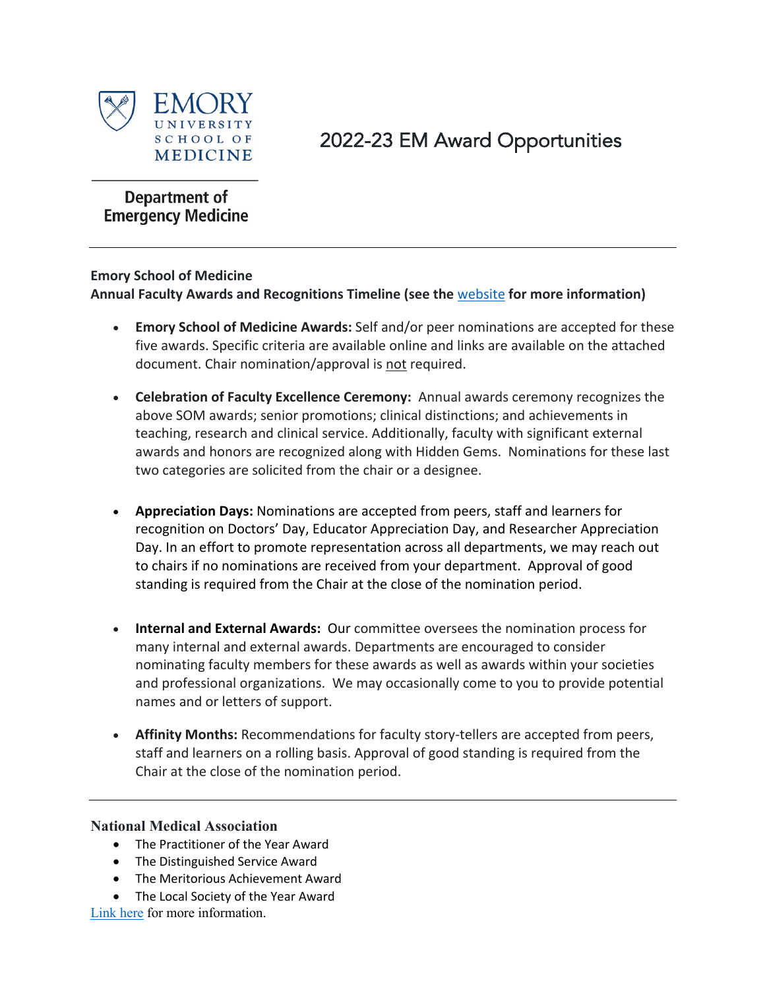

# 2022-23 EM Award Opportunities

## **Department of Emergency Medicine**

#### **Emory School of Medicine**

**Annual Faculty Awards and Recognitions Timeline (see the** website **for more information)**

- **Emory School of Medicine Awards:** Self and/or peer nominations are accepted for these five awards. Specific criteria are available online and links are available on the attached document. Chair nomination/approval is not required.
- **Celebration of Faculty Excellence Ceremony:** Annual awards ceremony recognizes the above SOM awards; senior promotions; clinical distinctions; and achievements in teaching, research and clinical service. Additionally, faculty with significant external awards and honors are recognized along with Hidden Gems. Nominations for these last two categories are solicited from the chair or a designee.
- **Appreciation Days:** Nominations are accepted from peers, staff and learners for recognition on Doctors' Day, Educator Appreciation Day, and Researcher Appreciation Day. In an effort to promote representation across all departments, we may reach out to chairs if no nominations are received from your department. Approval of good standing is required from the Chair at the close of the nomination period.
- **Internal and External Awards:** Our committee oversees the nomination process for many internal and external awards. Departments are encouraged to consider nominating faculty members for these awards as well as awards within your societies and professional organizations. We may occasionally come to you to provide potential names and or letters of support.
- **Affinity Months:** Recommendations for faculty story-tellers are accepted from peers, staff and learners on a rolling basis. Approval of good standing is required from the Chair at the close of the nomination period.

#### **National Medical Association**

- The Practitioner of the Year Award
- The Distinguished Service Award
- The Meritorious Achievement Award
- The Local Society of the Year Award

Link here for more information.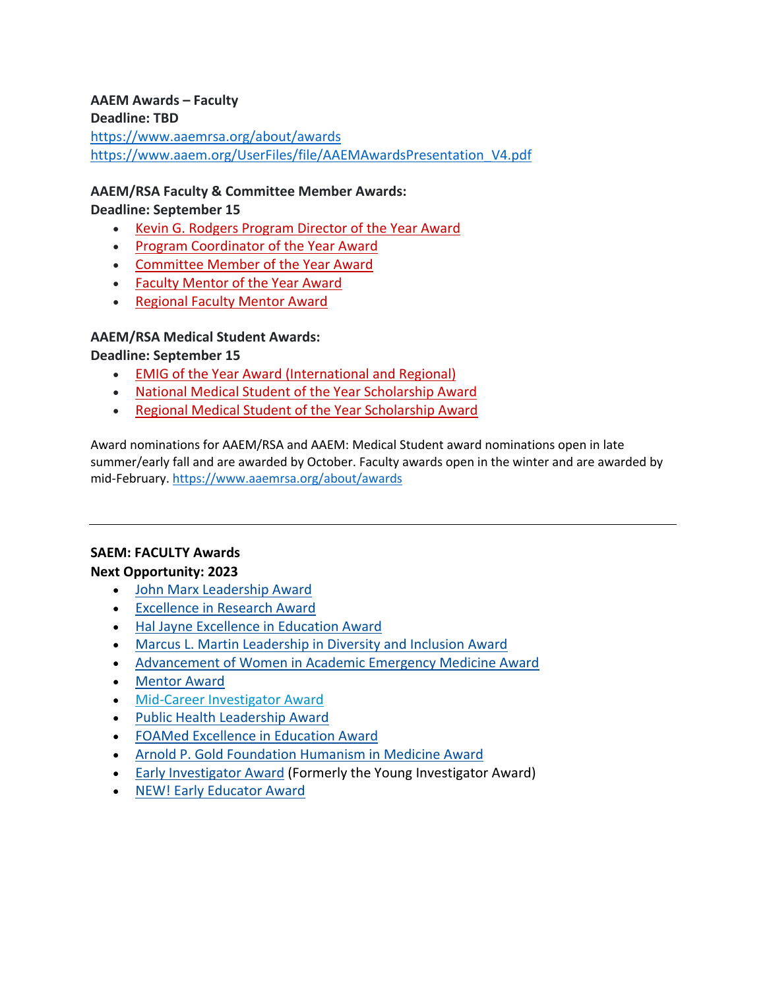# **AAEM Awards – Faculty**

**Deadline: TBD** https://www.aaemrsa.org/about/awards https://www.aaem.org/UserFiles/file/AAEMAwardsPresentation\_V4.pdf

### **AAEM/RSA Faculty & Committee Member Awards:**

**Deadline: September 15**

- Kevin G. Rodgers Program Director of the Year Award
- Program Coordinator of the Year Award
- Committee Member of the Year Award
- Faculty Mentor of the Year Award
- Regional Faculty Mentor Award

#### **AAEM/RSA Medical Student Awards:**

#### **Deadline: September 15**

- EMIG of the Year Award (International and Regional)
- National Medical Student of the Year Scholarship Award
- Regional Medical Student of the Year Scholarship Award

Award nominations for AAEM/RSA and AAEM: Medical Student award nominations open in late summer/early fall and are awarded by October. Faculty awards open in the winter and are awarded by mid-February. https://www.aaemrsa.org/about/awards

#### **SAEM: FACULTY Awards Next Opportunity: 2023**

- John Marx Leadership Award
- Excellence in Research Award
- Hal Jayne Excellence in Education Award
- Marcus L. Martin Leadership in Diversity and Inclusion Award
- Advancement of Women in Academic Emergency Medicine Award
- Mentor Award
- Mid-Career Investigator Award
- Public Health Leadership Award
- FOAMed Excellence in Education Award
- Arnold P. Gold Foundation Humanism in Medicine Award
- Early Investigator Award (Formerly the Young Investigator Award)
- NEW! Early Educator Award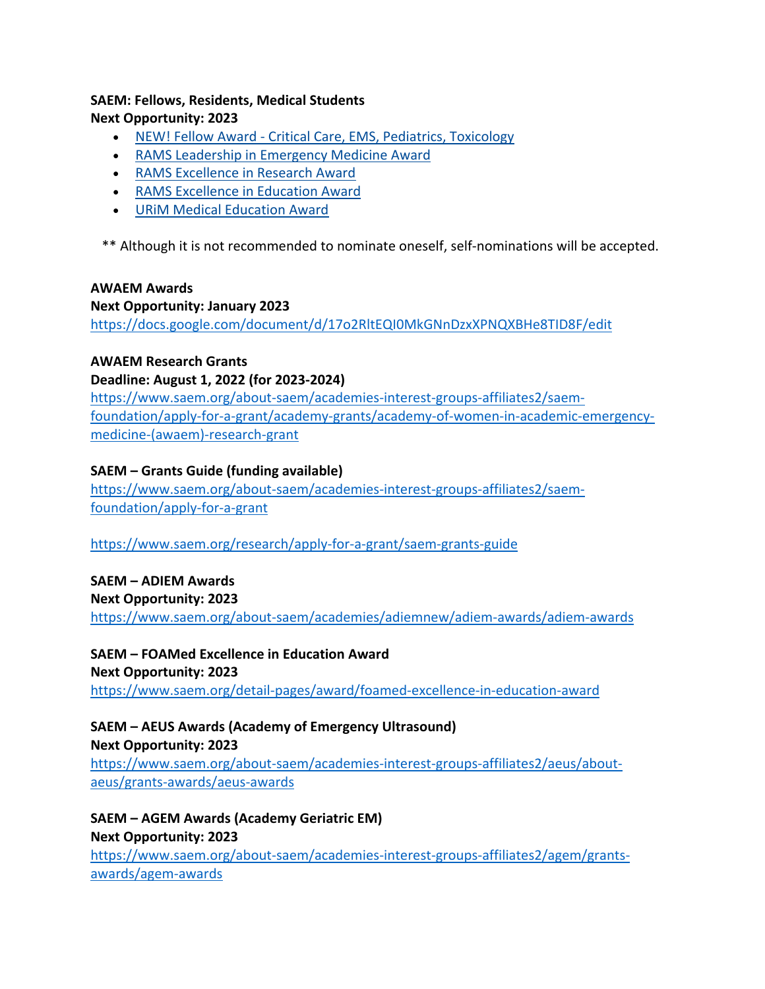### **SAEM: Fellows, Residents, Medical Students Next Opportunity: 2023**

- NEW! Fellow Award Critical Care, EMS, Pediatrics, Toxicology
- RAMS Leadership in Emergency Medicine Award
- RAMS Excellence in Research Award
- RAMS Excellence in Education Award
- URiM Medical Education Award

\*\* Although it is not recommended to nominate oneself, self-nominations will be accepted.

### **AWAEM Awards**

### **Next Opportunity: January 2023**

https://docs.google.com/document/d/17o2RltEQI0MkGNnDzxXPNQXBHe8TID8F/edit

### **AWAEM Research Grants**

### **Deadline: August 1, 2022 (for 2023-2024)**

https://www.saem.org/about-saem/academies-interest-groups-affiliates2/saemfoundation/apply-for-a-grant/academy-grants/academy-of-women-in-academic-emergencymedicine-(awaem)-research-grant

### **SAEM – Grants Guide (funding available)**

https://www.saem.org/about-saem/academies-interest-groups-affiliates2/saemfoundation/apply-for-a-grant

https://www.saem.org/research/apply-for-a-grant/saem-grants-guide

### **SAEM – ADIEM Awards**

### **Next Opportunity: 2023**

https://www.saem.org/about-saem/academies/adiemnew/adiem-awards/adiem-awards

### **SAEM – FOAMed Excellence in Education Award**

### **Next Opportunity: 2023**

https://www.saem.org/detail-pages/award/foamed-excellence-in-education-award

### **SAEM – AEUS Awards (Academy of Emergency Ultrasound)**

### **Next Opportunity: 2023**

https://www.saem.org/about-saem/academies-interest-groups-affiliates2/aeus/aboutaeus/grants-awards/aeus-awards

# **SAEM – AGEM Awards (Academy Geriatric EM)**

**Next Opportunity: 2023** 

https://www.saem.org/about-saem/academies-interest-groups-affiliates2/agem/grantsawards/agem-awards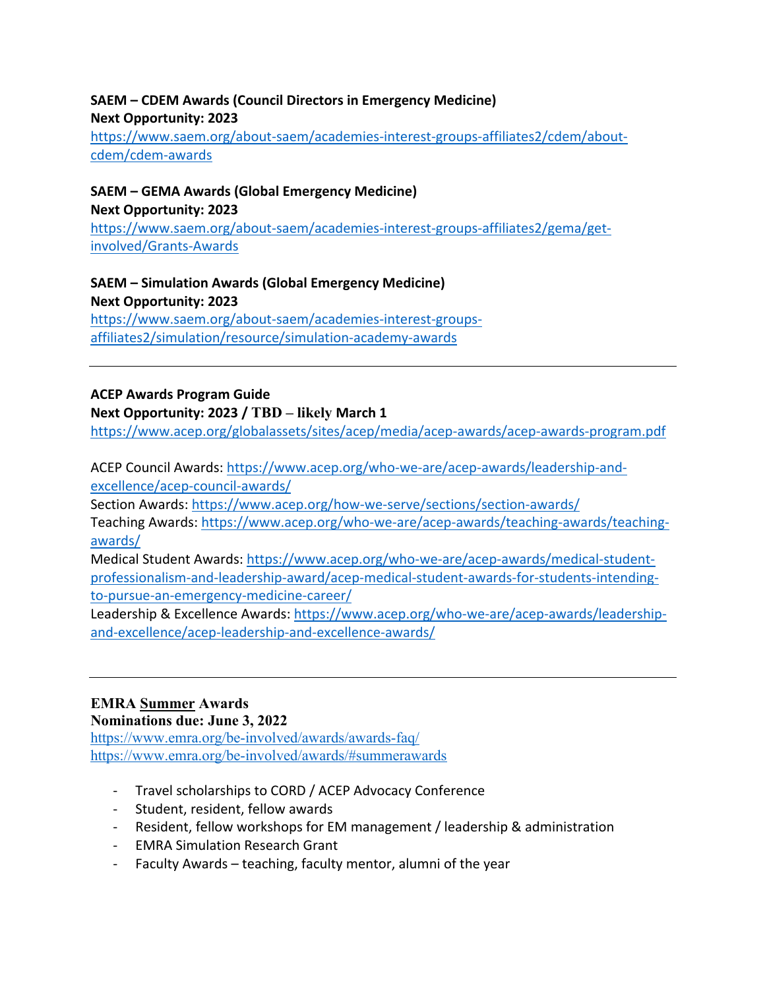### **SAEM – CDEM Awards (Council Directors in Emergency Medicine) Next Opportunity: 2023**

https://www.saem.org/about-saem/academies-interest-groups-affiliates2/cdem/aboutcdem/cdem-awards

# **SAEM – GEMA Awards (Global Emergency Medicine) Next Opportunity: 2023**

https://www.saem.org/about-saem/academies-interest-groups-affiliates2/gema/getinvolved/Grants-Awards

**SAEM – Simulation Awards (Global Emergency Medicine) Next Opportunity: 2023**  https://www.saem.org/about-saem/academies-interest-groupsaffiliates2/simulation/resource/simulation-academy-awards

# **ACEP Awards Program Guide**

**Next Opportunity: 2023 / TBD – likely March 1**

https://www.acep.org/globalassets/sites/acep/media/acep-awards/acep-awards-program.pdf

ACEP Council Awards: https://www.acep.org/who-we-are/acep-awards/leadership-andexcellence/acep-council-awards/

Section Awards: https://www.acep.org/how-we-serve/sections/section-awards/

Teaching Awards: https://www.acep.org/who-we-are/acep-awards/teaching-awards/teachingawards/

Medical Student Awards: https://www.acep.org/who-we-are/acep-awards/medical-studentprofessionalism-and-leadership-award/acep-medical-student-awards-for-students-intendingto-pursue-an-emergency-medicine-career/

Leadership & Excellence Awards: https://www.acep.org/who-we-are/acep-awards/leadershipand-excellence/acep-leadership-and-excellence-awards/

# **EMRA Summer Awards**

**Nominations due: June 3, 2022**

https://www.emra.org/be-involved/awards/awards-faq/ https://www.emra.org/be-involved/awards/#summerawards

- Travel scholarships to CORD / ACEP Advocacy Conference
- Student, resident, fellow awards
- Resident, fellow workshops for EM management / leadership & administration
- EMRA Simulation Research Grant
- Faculty Awards teaching, faculty mentor, alumni of the year